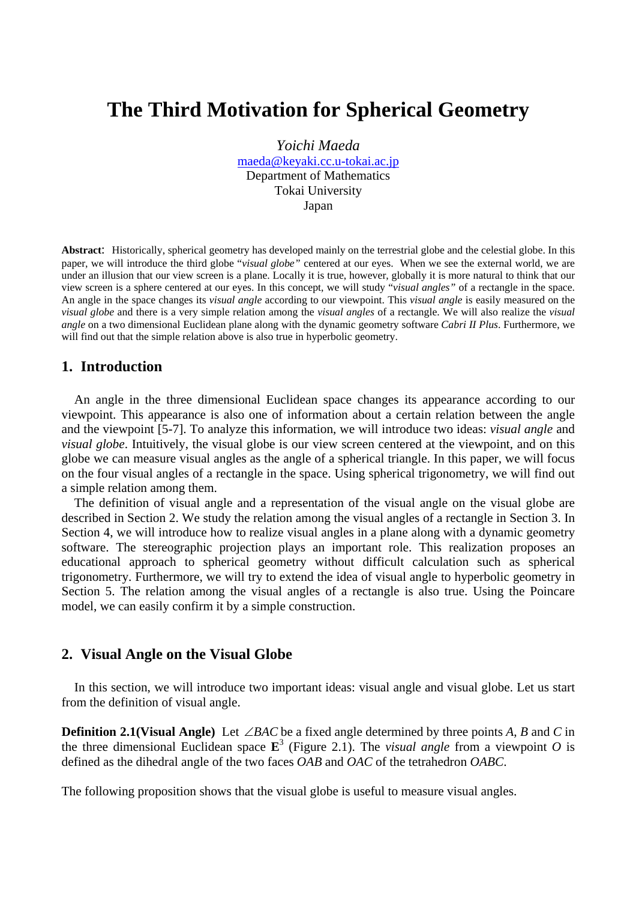# **The Third Motivation for Spherical Geometry**

*Yoichi Maeda*  maeda@keyaki.cc.u-tokai.ac.jp Department of Mathematics Tokai University Japan

**Abstract**: Historically, spherical geometry has developed mainly on the terrestrial globe and the celestial globe. In this paper, we will introduce the third globe "*visual globe"* centered at our eyes. When we see the external world, we are under an illusion that our view screen is a plane. Locally it is true, however, globally it is more natural to think that our view screen is a sphere centered at our eyes. In this concept, we will study "*visual angles"* of a rectangle in the space. An angle in the space changes its *visual angle* according to our viewpoint. This *visual angle* is easily measured on the *visual globe* and there is a very simple relation among the *visual angles* of a rectangle. We will also realize the *visual angle* on a two dimensional Euclidean plane along with the dynamic geometry software *Cabri II Plus*. Furthermore, we will find out that the simple relation above is also true in hyperbolic geometry.

## **1. Introduction**

An angle in the three dimensional Euclidean space changes its appearance according to our viewpoint. This appearance is also one of information about a certain relation between the angle and the viewpoint [5-7]. To analyze this information, we will introduce two ideas: *visual angle* and *visual globe*. Intuitively, the visual globe is our view screen centered at the viewpoint, and on this globe we can measure visual angles as the angle of a spherical triangle. In this paper, we will focus on the four visual angles of a rectangle in the space. Using spherical trigonometry, we will find out a simple relation among them.

The definition of visual angle and a representation of the visual angle on the visual globe are described in Section 2. We study the relation among the visual angles of a rectangle in Section 3. In Section 4, we will introduce how to realize visual angles in a plane along with a dynamic geometry software. The stereographic projection plays an important role. This realization proposes an educational approach to spherical geometry without difficult calculation such as spherical trigonometry. Furthermore, we will try to extend the idea of visual angle to hyperbolic geometry in Section 5. The relation among the visual angles of a rectangle is also true. Using the Poincare model, we can easily confirm it by a simple construction.

### **2. Visual Angle on the Visual Globe**

In this section, we will introduce two important ideas: visual angle and visual globe. Let us start from the definition of visual angle.

**Definition 2.1(Visual Angle)** Let  $\angle BAC$  be a fixed angle determined by three points *A*, *B* and *C* in the three dimensional Euclidean space  $\mathbf{E}^3$  (Figure 2.1). The *visual angle* from a viewpoint *O* is defined as the dihedral angle of the two faces *OAB* and *OAC* of the tetrahedron *OABC*.

The following proposition shows that the visual globe is useful to measure visual angles.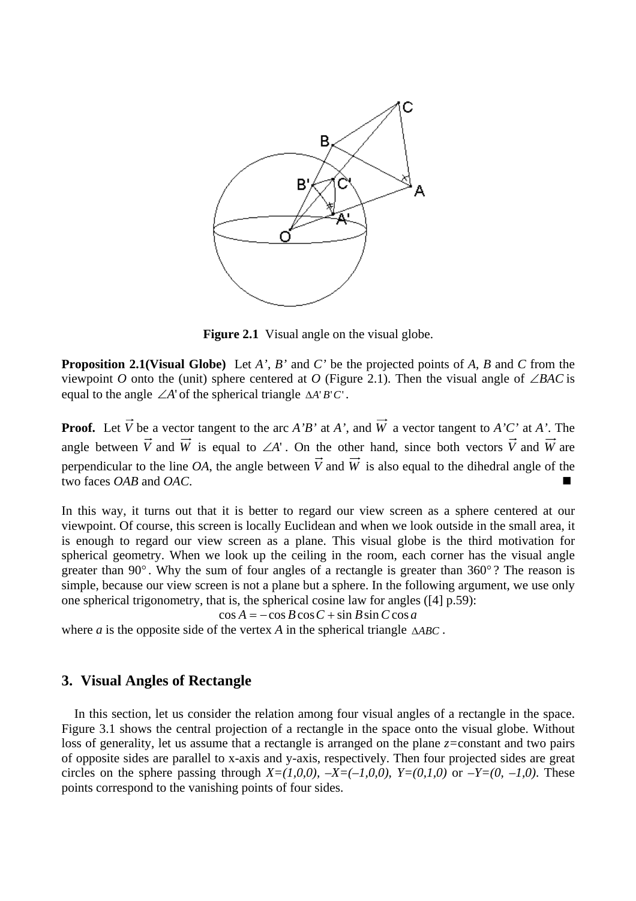

**Figure 2.1** Visual angle on the visual globe.

**Proposition 2.1(Visual Globe)** Let *A'*, *B'* and *C'* be the projected points of *A*, *B* and *C* from the viewpoint *O* onto the (unit) sphere centered at *O* (Figure 2.1). Then the visual angle of ∠*BAC* is equal to the angle ∠*A*' of the spherical triangle ∆*A*' *B*'*C*' .

**Proof.** Let  $\vec{V}$  be a vector tangent to the arc *A'B'* at *A'*, and  $\vec{W}$  a vector tangent to *A'C'* at *A'*. The angle between  $\vec{V}$  and  $\vec{W}$  is equal to ∠*A*'. On the other hand, since both vectors  $\vec{V}$  and  $\vec{W}$  are perpendicular to the line *OA*, the angle between  $\vec{V}$  and  $\vec{W}$  is also equal to the dihedral angle of the two faces *OAB* and *OAC*.

In this way, it turns out that it is better to regard our view screen as a sphere centered at our viewpoint. Of course, this screen is locally Euclidean and when we look outside in the small area, it is enough to regard our view screen as a plane. This visual globe is the third motivation for spherical geometry. When we look up the ceiling in the room, each corner has the visual angle greater than 90 $^{\circ}$ . Why the sum of four angles of a rectangle is greater than 360 $^{\circ}$ ? The reason is simple, because our view screen is not a plane but a sphere. In the following argument, we use only one spherical trigonometry, that is, the spherical cosine law for angles ([4] p.59):

$$
\cos A = -\cos B \cos C + \sin B \sin C \cos a
$$

where *a* is the opposite side of the vertex *A* in the spherical triangle ∆*ABC* .

#### **3. Visual Angles of Rectangle**

In this section, let us consider the relation among four visual angles of a rectangle in the space. Figure 3.1 shows the central projection of a rectangle in the space onto the visual globe. Without loss of generality, let us assume that a rectangle is arranged on the plane *z=*constant and two pairs of opposite sides are parallel to x-axis and y-axis, respectively. Then four projected sides are great circles on the sphere passing through  $X=(1,0,0)$ ,  $-X=(-1,0,0)$ ,  $Y=(0,1,0)$  or  $-Y=(0,-1,0)$ . These points correspond to the vanishing points of four sides.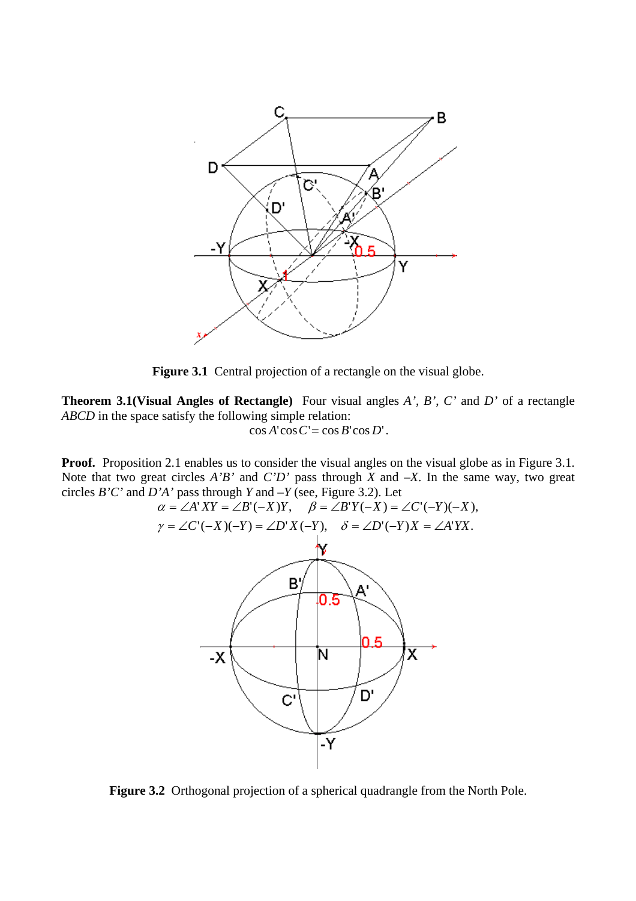

Figure 3.1 Central projection of a rectangle on the visual globe.

**Theorem 3.1(Visual Angles of Rectangle)** Four visual angles *A'*, *B'*, *C'* and *D'* of a rectangle *ABCD* in the space satisfy the following simple relation:

 $\cos A' \cos C' = \cos B' \cos D'.$ 

**Proof.** Proposition 2.1 enables us to consider the visual angles on the visual globe as in Figure 3.1. Note that two great circles *A'B'* and *C'D'* pass through *X* and *–X*. In the same way, two great circles *B'C'* and *D'A'* pass through *Y* and *–Y* (see, Figure 3.2). Let



**Figure 3.2** Orthogonal projection of a spherical quadrangle from the North Pole.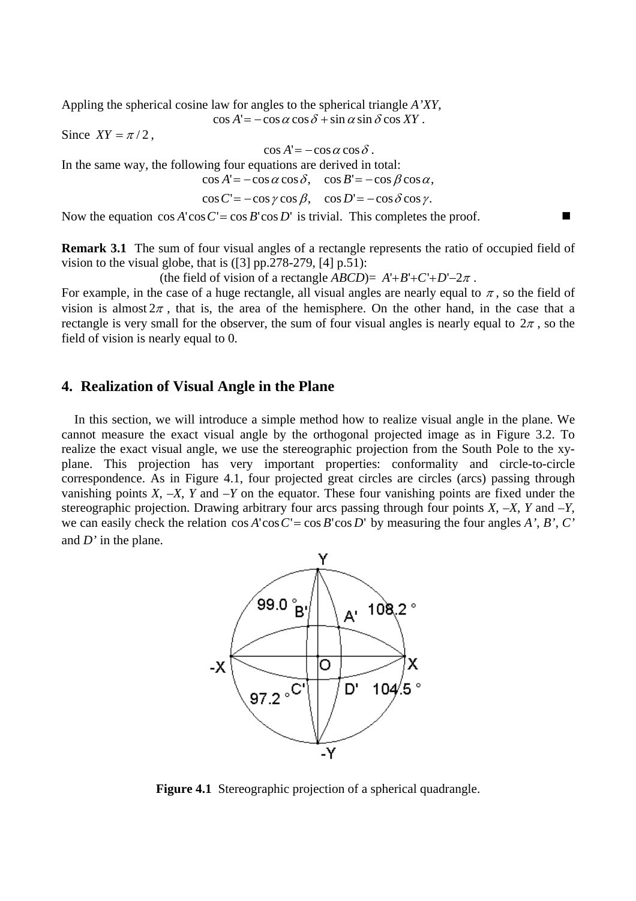Appling the spherical cosine law for angles to the spherical triangle *A'XY*,

 $\cos A' = -\cos\alpha\cos\delta + \sin\alpha\sin\delta\cos XY$ .

Since  $XY = \pi/2$ ,

$$
\cos A' = -\cos\alpha\cos\delta.
$$

In the same way, the following four equations are derived in total:

 $\cos A' = -\cos \alpha \cos \delta$ ,  $\cos B' = -\cos \beta \cos \alpha$ ,

$$
\cos C' = -\cos \gamma \cos \beta, \quad \cos D' = -\cos \delta \cos \gamma.
$$

Now the equation  $\cos A' \cos C' = \cos B' \cos D'$  is trivial. This completes the proof.

**Remark 3.1** The sum of four visual angles of a rectangle represents the ratio of occupied field of vision to the visual globe, that is  $(3]$  pp.278-279,  $[4]$  p.51):

(the field of vision of a rectangle *ABCD*)=  $A'+B'+C'+D'-2\pi$ .

For example, in the case of a huge rectangle, all visual angles are nearly equal to  $\pi$ , so the field of vision is almost  $2\pi$ , that is, the area of the hemisphere. On the other hand, in the case that a rectangle is very small for the observer, the sum of four visual angles is nearly equal to  $2\pi$ , so the field of vision is nearly equal to 0.

### **4. Realization of Visual Angle in the Plane**

 In this section, we will introduce a simple method how to realize visual angle in the plane. We cannot measure the exact visual angle by the orthogonal projected image as in Figure 3.2. To realize the exact visual angle, we use the stereographic projection from the South Pole to the xyplane. This projection has very important properties: conformality and circle-to-circle correspondence. As in Figure 4.1, four projected great circles are circles (arcs) passing through vanishing points  $X$ ,  $-X$ ,  $Y$  and  $-Y$  on the equator. These four vanishing points are fixed under the stereographic projection. Drawing arbitrary four arcs passing through four points  $X$ ,  $-X$ ,  $Y$  and  $-Y$ , we can easily check the relation  $\cos A' \cos C' = \cos B' \cos D'$  by measuring the four angles *A'*, *B'*, *C'* and *D'* in the plane.



**Figure 4.1** Stereographic projection of a spherical quadrangle.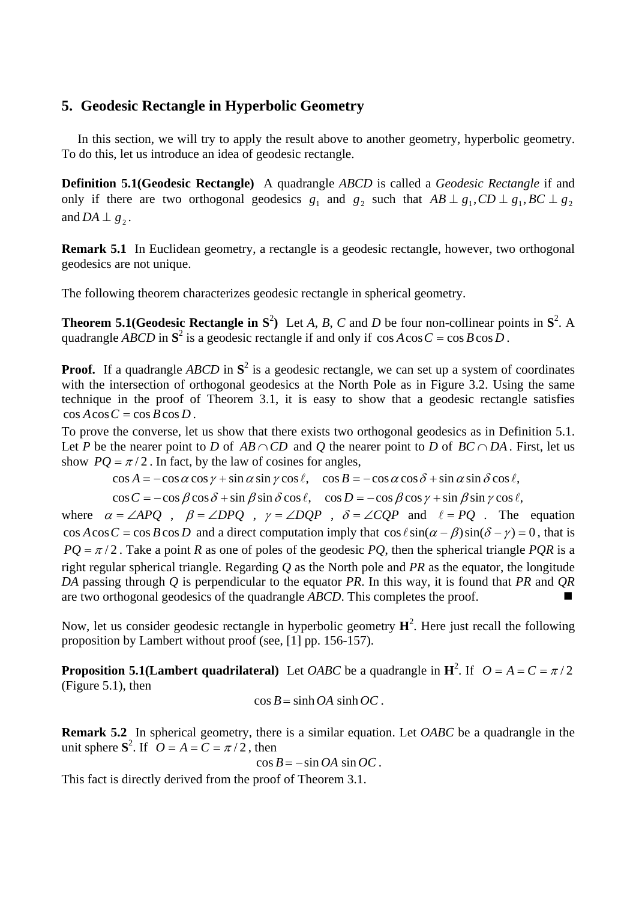## **5. Geodesic Rectangle in Hyperbolic Geometry**

In this section, we will try to apply the result above to another geometry, hyperbolic geometry. To do this, let us introduce an idea of geodesic rectangle.

**Definition 5.1(Geodesic Rectangle)** A quadrangle *ABCD* is called a *Geodesic Rectangle* if and only if there are two orthogonal geodesics  $g_1$  and  $g_2$  such that  $AB \perp g_1$ ,  $CD \perp g_1$ ,  $BC \perp g_2$ and  $DA \perp g$ .

**Remark 5.1** In Euclidean geometry, a rectangle is a geodesic rectangle, however, two orthogonal geodesics are not unique.

The following theorem characterizes geodesic rectangle in spherical geometry.

**Theorem 5.1(Geodesic Rectangle in**  $S^2$ **)** Let *A*, *B*, *C* and *D* be four non-collinear points in  $S^2$ . A quadrangle *ABCD* in  $S^2$  is a geodesic rectangle if and only if  $\cos A \cos C = \cos B \cos D$ .

**Proof.** If a quadrangle *ABCD* in  $S^2$  is a geodesic rectangle, we can set up a system of coordinates with the intersection of orthogonal geodesics at the North Pole as in Figure 3.2. Using the same technique in the proof of Theorem 3.1, it is easy to show that a geodesic rectangle satisfies  $\cos A \cos C = \cos B \cos D$ .

To prove the converse, let us show that there exists two orthogonal geodesics as in Definition 5.1. Let *P* be the nearer point to *D* of  $AB \cap CD$  and *Q* the nearer point to *D* of  $BC \cap DA$ . First, let us show  $PQ = \pi/2$ . In fact, by the law of cosines for angles,

 $\cos A = -\cos \alpha \cos \gamma + \sin \alpha \sin \gamma \cos \ell$ ,  $\cos B = -\cos \alpha \cos \delta + \sin \alpha \sin \delta \cos \ell$ ,

 $\cos C = -\cos \beta \cos \delta + \sin \beta \sin \delta \cos \ell$ ,  $\cos D = -\cos \beta \cos \gamma + \sin \beta \sin \gamma \cos \ell$ ,

where  $\alpha = \angle APQ$ ,  $\beta = \angle DPQ$ ,  $\gamma = \angle DQP$ ,  $\delta = \angle COP$  and  $\ell = PQ$ . The equation  $\cos A \cos C = \cos B \cos D$  and a direct computation imply that  $\cos \ell \sin(\alpha - \beta) \sin(\delta - \gamma) = 0$ , that is  $PQ = \pi/2$ . Take a point *R* as one of poles of the geodesic *PQ*, then the spherical triangle *PQR* is a right regular spherical triangle. Regarding *Q* as the North pole and *PR* as the equator, the longitude *DA* passing through *Q* is perpendicular to the equator *PR*. In this way, it is found that *PR* and *QR* are two orthogonal geodesics of the quadrangle *ABCD*. This completes the proof.

Now, let us consider geodesic rectangle in hyperbolic geometry  $\mathbf{H}^2$ . Here just recall the following proposition by Lambert without proof (see, [1] pp. 156-157).

**Proposition 5.1(Lambert quadrilateral)** Let *OABC* be a quadrangle in  $\mathbf{H}^2$ . If  $O = A = C = \pi/2$ (Figure 5.1), then

$$
\cos B = \sinh OA \sinh OC.
$$

**Remark 5.2** In spherical geometry, there is a similar equation. Let *OABC* be a quadrangle in the unit sphere  $S^2$ . If  $Q = A = C = \pi/2$ , then

$$
\cos B = -\sin OA \sin OC.
$$

This fact is directly derived from the proof of Theorem 3.1.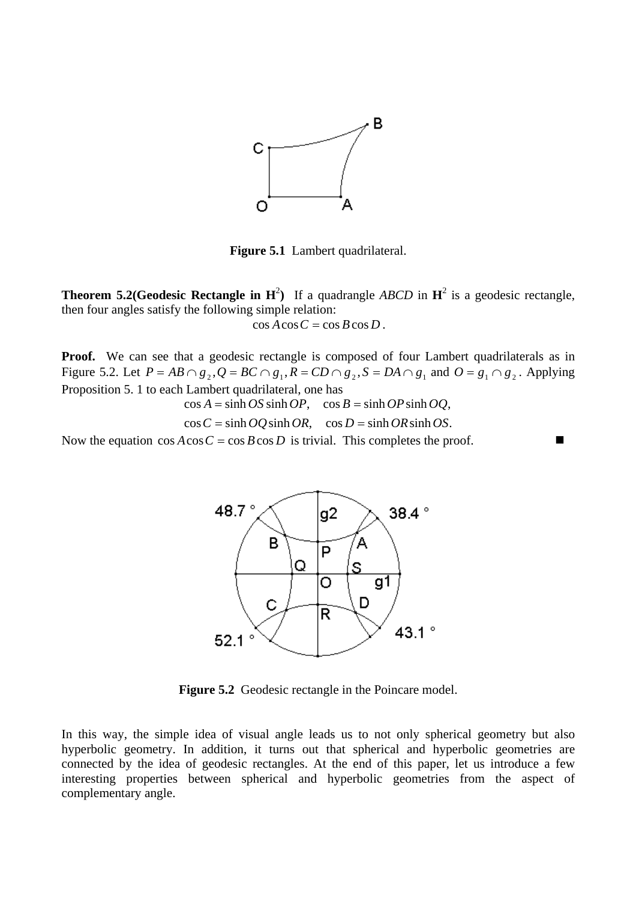

**Figure 5.1** Lambert quadrilateral.

**Theorem 5.2(Geodesic Rectangle in**  $H^2$ **)** If a quadrangle *ABCD* in  $H^2$  is a geodesic rectangle, then four angles satisfy the following simple relation:

 $\cos A \cos C = \cos B \cos D$ .

**Proof.** We can see that a geodesic rectangle is composed of four Lambert quadrilaterals as in Figure 5.2. Let  $P = AB \cap g_2$ ,  $Q = BC \cap g_1$ ,  $R = CD \cap g_2$ ,  $S = DA \cap g_1$  and  $Q = g_1 \cap g_2$ . Applying Proposition 5. 1 to each Lambert quadrilateral, one has

 $\cos A = \sinh OS \sinh OP$ ,  $\cos B = \sinh OP \sinh OQ$ ,

 $\cos C = \sinh OQ \sinh OR$ ,  $\cos D = \sinh OR \sinh OS$ .

Now the equation  $\cos A \cos C = \cos B \cos D$  is trivial. This completes the proof.



Figure 5.2 Geodesic rectangle in the Poincare model.

In this way, the simple idea of visual angle leads us to not only spherical geometry but also hyperbolic geometry. In addition, it turns out that spherical and hyperbolic geometries are connected by the idea of geodesic rectangles. At the end of this paper, let us introduce a few interesting properties between spherical and hyperbolic geometries from the aspect of complementary angle.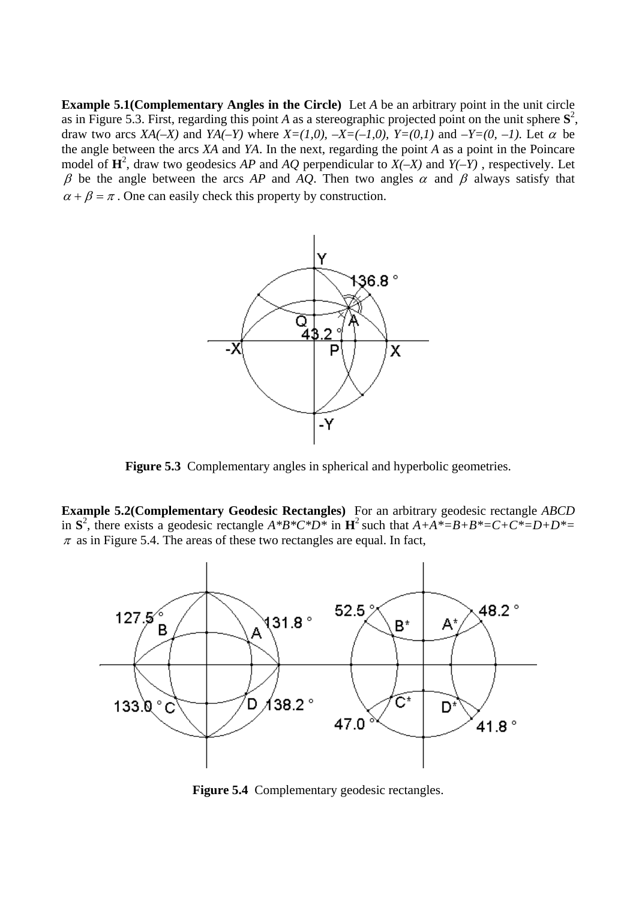**Example 5.1(Complementary Angles in the Circle)** Let *A* be an arbitrary point in the unit circle as in Figure 5.3. First, regarding this point *A* as a stereographic projected point on the unit sphere  $S^2$ , draw two arcs  $XA(-X)$  and  $YA(-Y)$  where  $X=(1,0), -X=(-1,0), Y=(0,1)$  and  $-Y=(0, -1)$ . Let  $\alpha$  be the angle between the arcs *XA* and *YA*. In the next, regarding the point *A* as a point in the Poincare model of  $\mathbf{H}^2$ , draw two geodesics *AP* and *AQ* perpendicular to *X(-X)* and *Y(-Y)*, respectively. Let β be the angle between the arcs *AP* and *AQ*. Then two angles  $\alpha$  and β always satisfy that  $\alpha + \beta = \pi$ . One can easily check this property by construction.



**Figure 5.3** Complementary angles in spherical and hyperbolic geometries.

**Example 5.2(Complementary Geodesic Rectangles)** For an arbitrary geodesic rectangle *ABCD* in  $S^2$ , there exists a geodesic rectangle  $A^*B^*C^*D^*$  in  $H^2$  such that  $A+A^*=B+B^*=C+C^*=D+D^*=D^*$  $\pi$  as in Figure 5.4. The areas of these two rectangles are equal. In fact,



**Figure 5.4** Complementary geodesic rectangles.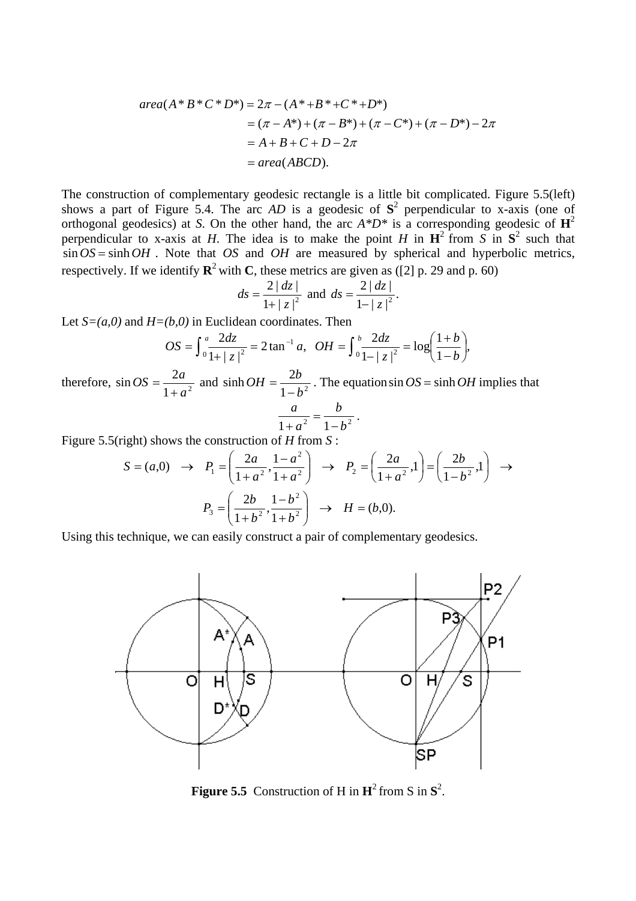$$
area(A * B * C * D*) = 2\pi - (A * + B * + C * + D*)
$$
  
= (\pi - A\*) + (\pi - B\*) + (\pi - C\*) + (\pi - D\*) - 2\pi  
= A + B + C + D - 2\pi  
= area(ABCD).

The construction of complementary geodesic rectangle is a little bit complicated. Figure 5.5(left) shows a part of Figure 5.4. The arc  $AD$  is a geodesic of  $S^2$  perpendicular to x-axis (one of orthogonal geodesics) at *S*. On the other hand, the arc *A\*D\** is a corresponding geodesic of **H**<sup>2</sup> perpendicular to x-axis at *H*. The idea is to make the point *H* in  $\mathbf{H}^2$  from *S* in  $\mathbf{S}^2$  such that  $\sin OS = \sinh OH$ . Note that *OS* and *OH* are measured by spherical and hyperbolic metrics, respectively. If we identify  $\mathbb{R}^2$  with C, these metrics are given as ([2] p. 29 and p. 60)

$$
ds = \frac{2 |dz|}{1 + |z|^2}
$$
 and  $ds = \frac{2 |dz|}{1 - |z|^2}$ .

Let  $S=(a,0)$  and  $H=(b,0)$  in Euclidean coordinates. Then

$$
OS = \int_0^a \frac{2dz}{1+|z|^2} = 2 \tan^{-1} a, \ \ OH = \int_0^b \frac{2dz}{1-|z|^2} = \log \left(\frac{1+b}{1-b}\right),
$$

therefore,  $\sin OS = \frac{2a}{1 + a^2}$ *a*  $OS = \frac{2a}{1+a^2}$  and  $\sinh OH = \frac{2b}{1-b^2}$  $OH = \frac{2b}{1-b^2}$ . The equations in  $OS = \sinh OH$  implies that *b a*

$$
\frac{a}{1+a^2}=\frac{b}{1-b^2}.
$$

Figure 5.5(right) shows the construction of *H* from *S* :

$$
S = (a,0) \rightarrow P_1 = \left(\frac{2a}{1+a^2}, \frac{1-a^2}{1+a^2}\right) \rightarrow P_2 = \left(\frac{2a}{1+a^2}, 1\right) = \left(\frac{2b}{1-b^2}, 1\right) \rightarrow P_3 = \left(\frac{2b}{1+b^2}, \frac{1-b^2}{1+b^2}\right) \rightarrow H = (b,0).
$$

Using this technique, we can easily construct a pair of complementary geodesics.



**Figure 5.5** Construction of H in  $\mathbf{H}^2$  from S in  $\mathbf{S}^2$ .